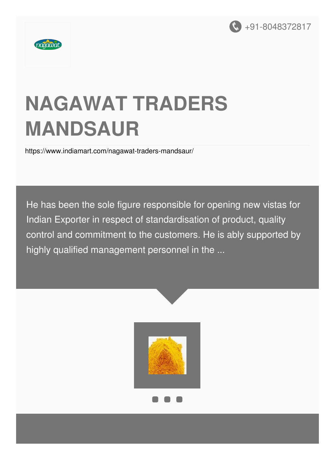



# **NAGAWAT TRADERS MANDSAUR**

<https://www.indiamart.com/nagawat-traders-mandsaur/>

He has been the sole figure responsible for opening new vistas for Indian Exporter in respect of standardisation of product, quality control and commitment to the customers. He is ably supported by highly qualified management personnel in the ...

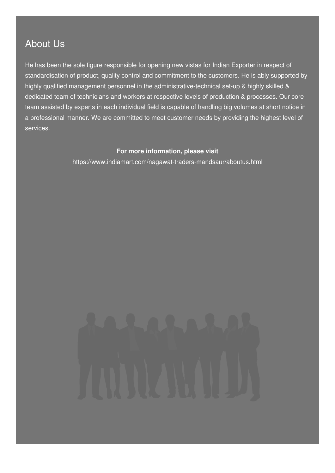### About Us

He has been the sole figure responsible for opening new vistas for Indian Exporter in respect of standardisation of product, quality control and commitment to the customers. He is ably supported by highly qualified management personnel in the administrative-technical set-up & highly skilled & dedicated team of technicians and workers at respective levels of production & processes. Our core team assisted by experts in each individual field is capable of handling big volumes at short notice in a professional manner. We are committed to meet customer needs by providing the highest level of services.

#### **For more information, please visit**

<https://www.indiamart.com/nagawat-traders-mandsaur/aboutus.html>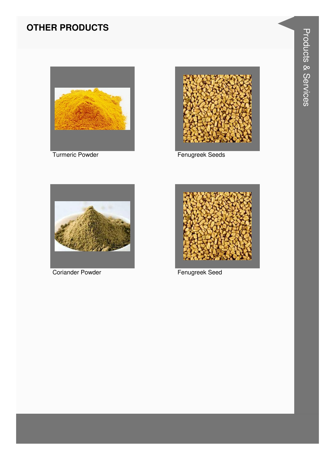#### **OTHER PRODUCTS**



**Turmeric Powder** 



Fenugreek Seeds



**Coriander Powder** 



Fenugreek Seed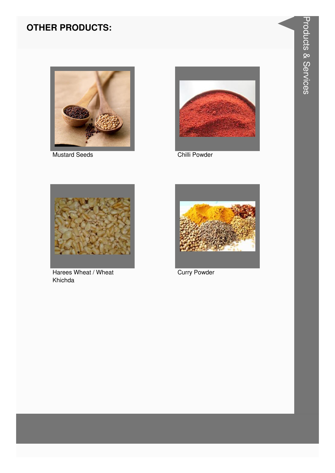#### **OTHER PRODUCTS:**



**Mustard Seeds** 



Chilli Powder



Harees Wheat / Wheat Khichda



**Curry Powder**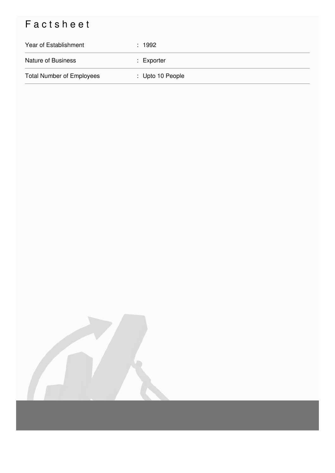## Factsheet

| Year of Establishment            | : 1992                      |
|----------------------------------|-----------------------------|
| <b>Nature of Business</b>        | $:$ Exporter                |
| <b>Total Number of Employees</b> | $\therefore$ Upto 10 People |